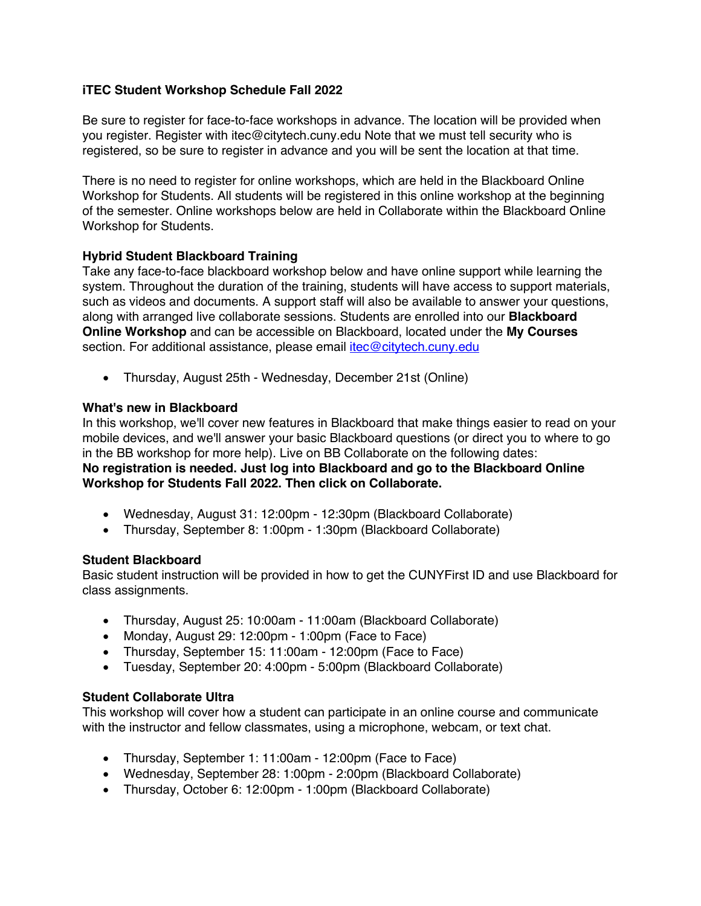## **iTEC Student Workshop Schedule Fall 2022**

Be sure to register for face-to-face workshops in advance. The location will be provided when you register. Register with itec@citytech.cuny.edu Note that we must tell security who is registered, so be sure to register in advance and you will be sent the location at that time.

There is no need to register for online workshops, which are held in the Blackboard Online Workshop for Students. All students will be registered in this online workshop at the beginning of the semester. Online workshops below are held in Collaborate within the Blackboard Online Workshop for Students.

# **Hybrid Student Blackboard Training**

Take any face-to-face blackboard workshop below and have online support while learning the system. Throughout the duration of the training, students will have access to support materials, such as videos and documents. A support staff will also be available to answer your questions, along with arranged live collaborate sessions. Students are enrolled into our **Blackboard Online Workshop** and can be accessible on Blackboard, located under the **My Courses** section. For additional assistance, please email itec@citytech.cuny.edu

• Thursday, August 25th - Wednesday, December 21st (Online)

# **What's new in Blackboard**

In this workshop, we'll cover new features in Blackboard that make things easier to read on your mobile devices, and we'll answer your basic Blackboard questions (or direct you to where to go in the BB workshop for more help). Live on BB Collaborate on the following dates: **No registration is needed. Just log into Blackboard and go to the Blackboard Online Workshop for Students Fall 2022. Then click on Collaborate.**

- Wednesday, August 31: 12:00pm 12:30pm (Blackboard Collaborate)
- Thursday, September 8: 1:00pm 1:30pm (Blackboard Collaborate)

## **Student Blackboard**

Basic student instruction will be provided in how to get the CUNYFirst ID and use Blackboard for class assignments.

- Thursday, August 25: 10:00am 11:00am (Blackboard Collaborate)
- Monday, August 29: 12:00pm 1:00pm (Face to Face)
- Thursday, September 15: 11:00am 12:00pm (Face to Face)
- Tuesday, September 20: 4:00pm 5:00pm (Blackboard Collaborate)

## **Student Collaborate Ultra**

This workshop will cover how a student can participate in an online course and communicate with the instructor and fellow classmates, using a microphone, webcam, or text chat.

- Thursday, September 1: 11:00am 12:00pm (Face to Face)
- Wednesday, September 28: 1:00pm 2:00pm (Blackboard Collaborate)
- Thursday, October 6: 12:00pm 1:00pm (Blackboard Collaborate)